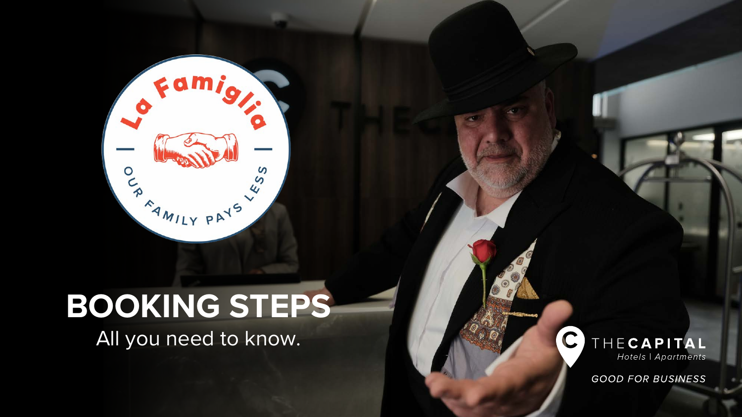## **BOOKING STEPS**

OU PAYS US

Famig,

 $\bullet$ 

All you need to know.



**GOOD FOR BUSINESS**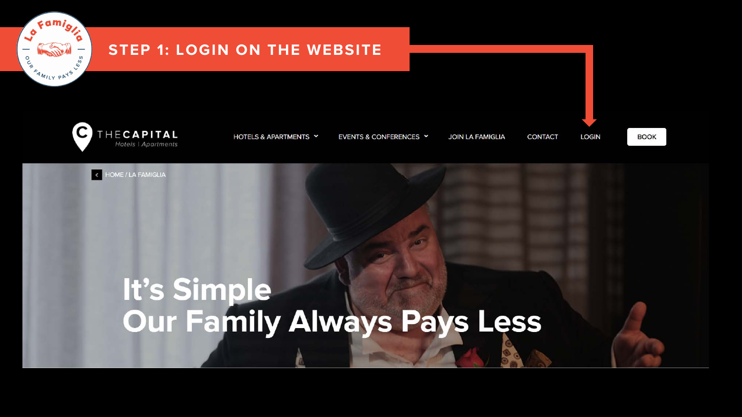

## **STEP 1: LOGIN ON THE WEBSITE**



HOTELS & APARTMENTS Y

EVENTS & CONFERENCES Y

**JOIN LA FAMIGLIA CONTACT**  **BOOK** 

**LOGIN** 



# It's Simple<br>Our Family Always Pays Less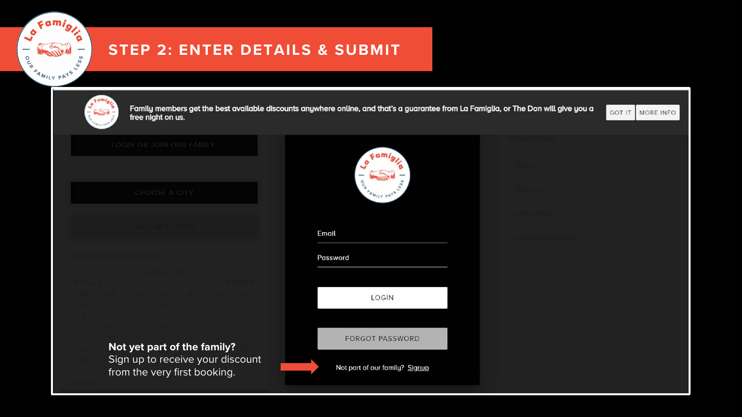## **STEP 2: ENTER DETAILS & SUBMIT**



o Famiglia

Land

CE MANUS ORIGINAL

**SP** 

| free night on us. |
|-------------------|
|-------------------|

| LOGIN OR JOIN OUR FAMILY<br>CHOOSE A CITY                        | cam,<br><b>AMILY PAY</b>       |  |
|------------------------------------------------------------------|--------------------------------|--|
|                                                                  | Email                          |  |
|                                                                  | Password                       |  |
|                                                                  | LOGIN                          |  |
| Not yet part of the family?                                      | FORGOT PASSWORD                |  |
| Sign up to receive your discount<br>from the very first booking. | Not part of our family? Signup |  |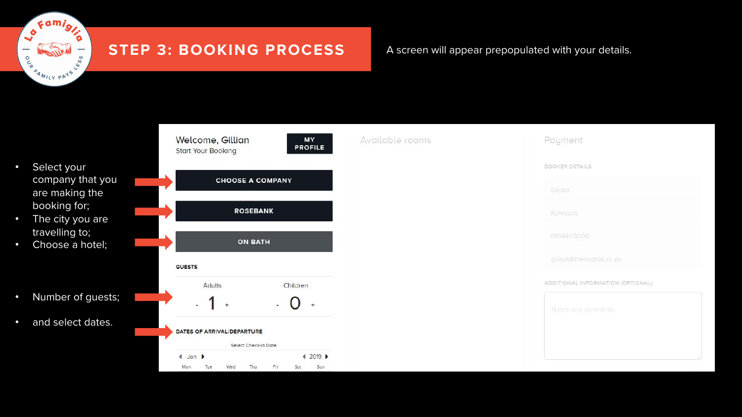### o Famiglia  $\sim$ **OC**  $\frac{1}{2}$ AMILY PAYS

## **STEP 3: BOOKING PROCESS** A screen will appear prepopulated with your details.

- Select your company that you are making the booking for;
- The city you are travelling to;
- Choose a hotel;
- Number of guests;
- and select dates.

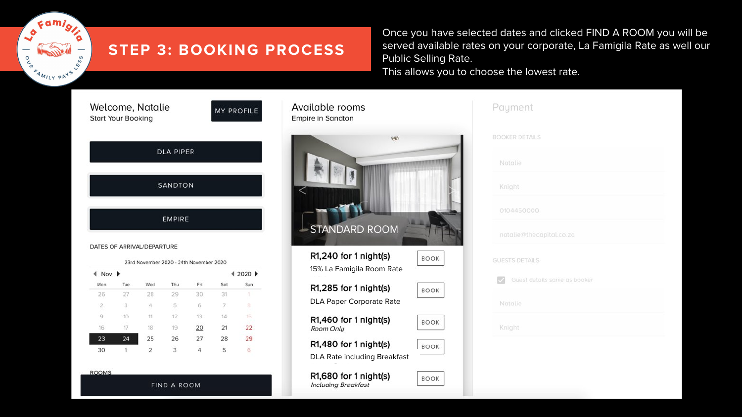## **STEP 3: BOOKING PROCESS**

Once you have selected dates and clicked FIND A ROOM you will be served available rates on your corporate, La Famigila Rate as well our Public Selling Rate. This allows you to choose the lowest rate.

Welcome, Natalie **Start Your Bookin** 

Famig,

FAMILY PAYS

 $\frac{5}{2}$ 

ە  $\overline{\phantom{0}}$ 

**O**<br>PO

| atatle<br>١g     | <b>MY PROFILE</b> |
|------------------|-------------------|
| <b>DLA PIPER</b> |                   |
| <b>SANDTON</b>   |                   |
|                  |                   |

EMPIRE

#### DATES OF ARRIVAL/DEPARTURE

| 4 2020 ▶ |     |     |     |                |       | Nov <b>P</b> |
|----------|-----|-----|-----|----------------|-------|--------------|
| Sun      | Sat | Fri | Thu | Wed            | Tue   | Mon          |
|          | 31  | 30  | 29  | 28             | 27    | 26           |
| 8        | 7   | 6   | 5   | 4              | 3     | $\mathbb{Z}$ |
| 16.      | 14  | 13  | 12  | 11             | $-10$ | 9            |
| 22       | 21  | 20  | 19  | 18             | 17    | 16           |
| 29       | 28  | 27  | 26  | 25             | 24    | 23           |
| 6        | 5   | 4   | 3   | $\overline{2}$ | 1     | 30           |

**ROOMS** 

**FIND A ROOM** 

| <b>Empire in Sandton</b>                           |             |
|----------------------------------------------------|-------------|
| VP)<br><b>STANDARD ROOM</b>                        |             |
| R1,240 for 1 night(s)<br>15% La Famigila Room Rate | <b>BOOK</b> |
| R1,285 for 1 night(s)<br>DLA Paper Corporate Rate  | <b>BOOK</b> |
| R1,460 for 1 night(s)                              | <b>BOOK</b> |

Available rooms

Room Only R1,480 for 1 night(s) **BOOK** DLA Rate including Breakfast

BOOK

R1,680 for 1 night(s) **Including Breakfast** 

|            | <b>BOOKER DETAILS</b>        |
|------------|------------------------------|
|            | Natalie                      |
|            | Knight                       |
|            | 0104450000                   |
|            | natalie@thecapital.co.za     |
|            | <b>GUESTS DETAILS</b>        |
| $\backsim$ | Guest details same as booker |
|            | Natalie                      |
|            | Knight                       |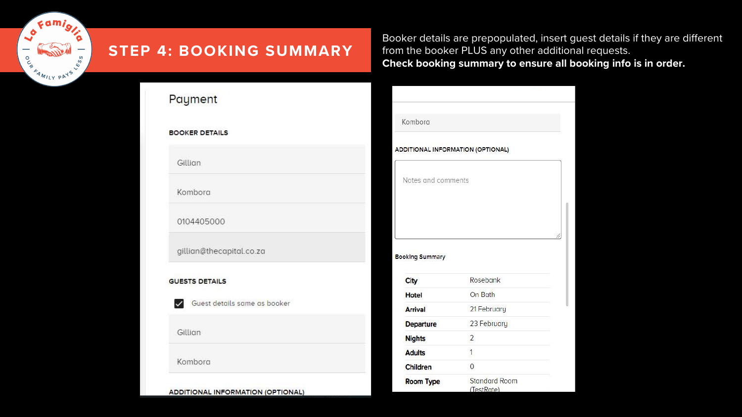

## **STEP 4: BOOKING SUMMARY**

Booker details are prepopulated, insert guest details if they are different from the booker PLUS any other additional requests. **Check booking summary to ensure all booking info is in order.** 

| Payment                                      |                                   |                |
|----------------------------------------------|-----------------------------------|----------------|
|                                              | Kombora                           |                |
| <b>BOOKER DETAILS</b>                        |                                   |                |
|                                              | ADDITIONAL INFORMATION (OPTIONAL) |                |
| Gillian                                      |                                   |                |
|                                              | Notes and comments                |                |
| Kombora                                      |                                   |                |
|                                              |                                   |                |
| 0104405000                                   |                                   |                |
| gillian@thecapital.co.za                     |                                   |                |
|                                              | <b>Booking Summary</b>            |                |
| <b>GUESTS DETAILS</b>                        | City                              | Rosebank       |
|                                              | <b>Hotel</b>                      | On Bath        |
| Guest details same as booker<br>$\checkmark$ | <b>Arrival</b>                    | 21 February    |
|                                              |                                   |                |
|                                              | <b>Departure</b>                  | 23 February    |
|                                              | <b>Nights</b>                     | $\overline{2}$ |
|                                              | <b>Adults</b>                     | 1              |
| Gillian<br>Kombora                           | Children                          | $\mathbf{0}$   |

ADDITIONAL INFORMATION (OPTIONAL)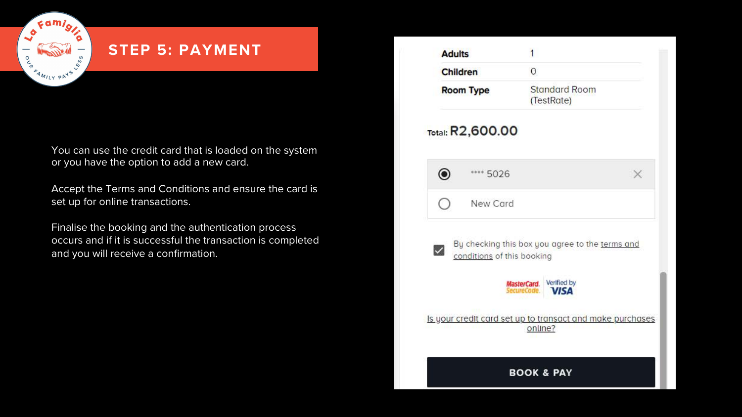## **STEP 5: PAYMENT**

 $\epsilon$ ami

FAMILY PAYS

our

You can use the credit card that is loaded on the system or you have the option to add a new card.

Accept the Terms and Conditions and ensure the card is set up for online transactions.

Finalise the booking and the authentication process occurs and if it is successful the transaction is completed and you will receive a confirmation.